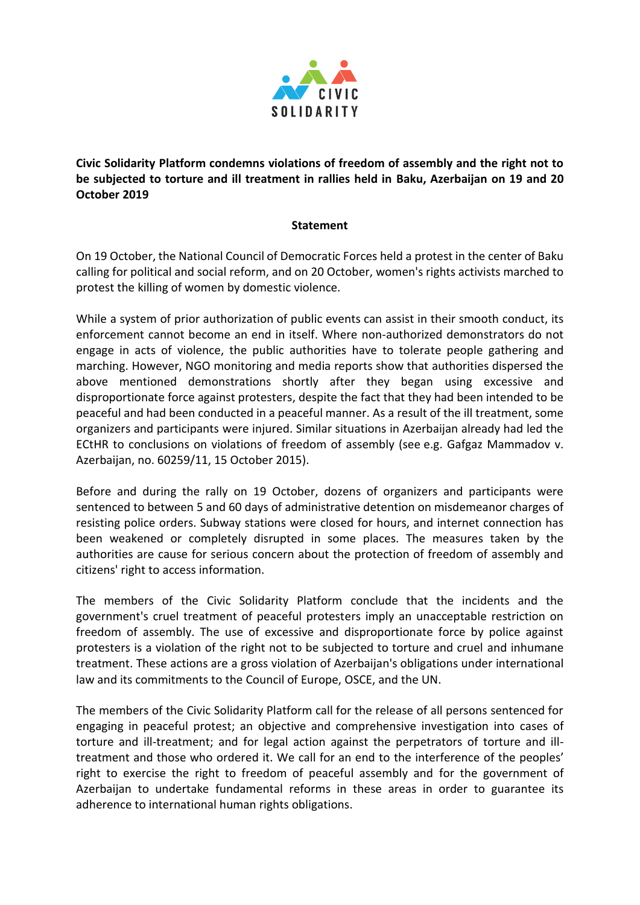

**Civic Solidarity Platform condemns violations of freedom of assembly and the right not to be subjected to torture and ill treatment in rallies held in Baku, Azerbaijan on 19 and 20 October 2019**

## **Statement**

On 19 October, the National Council of Democratic Forces held a protest in the center of Baku calling for political and social reform, and on 20 October, women's rights activists marched to protest the killing of women by domestic violence.

While a system of prior authorization of public events can assist in their smooth conduct, its enforcement cannot become an end in itself. Where non-authorized demonstrators do not engage in acts of violence, the public authorities have to tolerate people gathering and marching. However, NGO monitoring and media reports show that authorities dispersed the above mentioned demonstrations shortly after they began using excessive and disproportionate force against protesters, despite the fact that they had been intended to be peaceful and had been conducted in a peaceful manner. As a result of the ill treatment, some organizers and participants were injured. Similar situations in Azerbaijan already had led the ECtHR to conclusions on violations of freedom of assembly (see e.g. Gafgaz Mammadov v. Azerbaijan, no. 60259/11, 15 October 2015).

Before and during the rally on 19 October, dozens of organizers and participants were sentenced to between 5 and 60 days of administrative detention on misdemeanor charges of resisting police orders. Subway stations were closed for hours, and internet connection has been weakened or completely disrupted in some places. The measures taken by the authorities are cause for serious concern about the protection of freedom of assembly and citizens' right to access information.

The members of the Civic Solidarity Platform conclude that the incidents and the government's cruel treatment of peaceful protesters imply an unacceptable restriction on freedom of assembly. The use of excessive and disproportionate force by police against protesters is a violation of the right not to be subjected to torture and cruel and inhumane treatment. These actions are a gross violation of Azerbaijan's obligations under international law and its commitments to the Council of Europe, OSCE, and the UN.

The members of the Civic Solidarity Platform call for the release of all persons sentenced for engaging in peaceful protest; an objective and comprehensive investigation into cases of torture and ill-treatment; and for legal action against the perpetrators of torture and illtreatment and those who ordered it. We call for an end to the interference of the peoples' right to exercise the right to freedom of peaceful assembly and for the government of Azerbaijan to undertake fundamental reforms in these areas in order to guarantee its adherence to international human rights obligations.